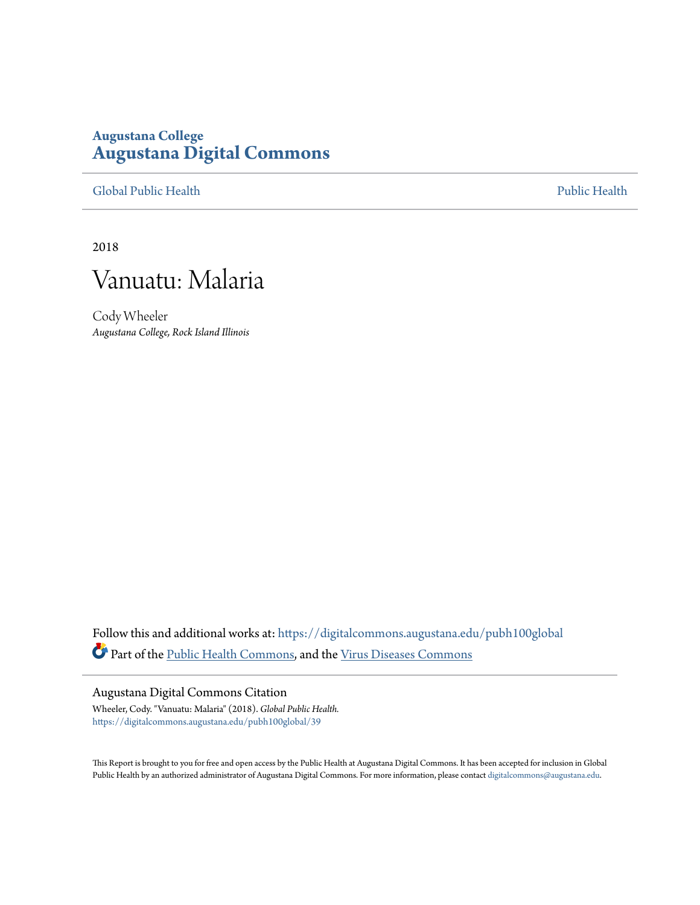# **Augustana College [Augustana Digital Commons](https://digitalcommons.augustana.edu?utm_source=digitalcommons.augustana.edu%2Fpubh100global%2F39&utm_medium=PDF&utm_campaign=PDFCoverPages)**

[Global Public Health](https://digitalcommons.augustana.edu/pubh100global?utm_source=digitalcommons.augustana.edu%2Fpubh100global%2F39&utm_medium=PDF&utm_campaign=PDFCoverPages) [Public Health](https://digitalcommons.augustana.edu/publichealth?utm_source=digitalcommons.augustana.edu%2Fpubh100global%2F39&utm_medium=PDF&utm_campaign=PDFCoverPages)

2018



Cody Wheeler *Augustana College, Rock Island Illinois*

Follow this and additional works at: [https://digitalcommons.augustana.edu/pubh100global](https://digitalcommons.augustana.edu/pubh100global?utm_source=digitalcommons.augustana.edu%2Fpubh100global%2F39&utm_medium=PDF&utm_campaign=PDFCoverPages) Part of the [Public Health Commons,](http://network.bepress.com/hgg/discipline/738?utm_source=digitalcommons.augustana.edu%2Fpubh100global%2F39&utm_medium=PDF&utm_campaign=PDFCoverPages) and the [Virus Diseases Commons](http://network.bepress.com/hgg/discipline/998?utm_source=digitalcommons.augustana.edu%2Fpubh100global%2F39&utm_medium=PDF&utm_campaign=PDFCoverPages)

### Augustana Digital Commons Citation

Wheeler, Cody. "Vanuatu: Malaria" (2018). *Global Public Health.* [https://digitalcommons.augustana.edu/pubh100global/39](https://digitalcommons.augustana.edu/pubh100global/39?utm_source=digitalcommons.augustana.edu%2Fpubh100global%2F39&utm_medium=PDF&utm_campaign=PDFCoverPages)

This Report is brought to you for free and open access by the Public Health at Augustana Digital Commons. It has been accepted for inclusion in Global Public Health by an authorized administrator of Augustana Digital Commons. For more information, please contact [digitalcommons@augustana.edu.](mailto:digitalcommons@augustana.edu)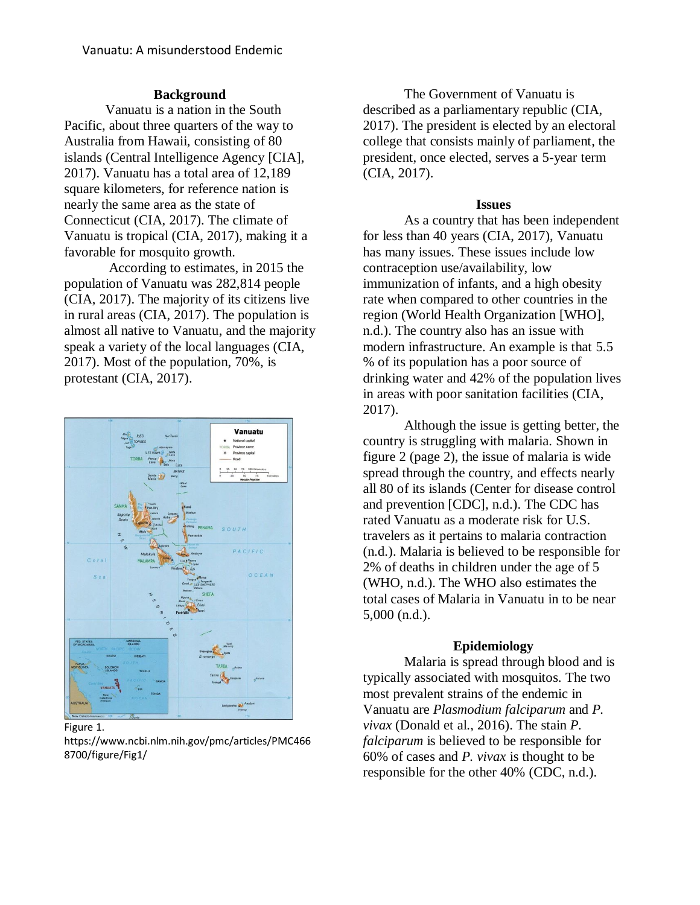## **Background**

Vanuatu is a nation in the South Pacific, about three quarters of the way to Australia from Hawaii, consisting of 80 islands (Central Intelligence Agency [CIA], 2017). Vanuatu has a total area of 12,189 square kilometers, for reference nation is nearly the same area as the state of Connecticut (CIA, 2017). The climate of Vanuatu is tropical (CIA, 2017), making it a favorable for mosquito growth.

According to estimates, in 2015 the population of Vanuatu was 282,814 people (CIA, 2017). The majority of its citizens live in rural areas (CIA, 2017). The population is almost all native to Vanuatu, and the majority speak a variety of the local languages (CIA, 2017). Most of the population, 70%, is protestant (CIA, 2017).



#### Figure 1.

https://www.ncbi.nlm.nih.gov/pmc/articles/PMC466 8700/figure/Fig1/

The Government of Vanuatu is described as a parliamentary republic (CIA, 2017). The president is elected by an electoral college that consists mainly of parliament, the president, once elected, serves a 5-year term (CIA, 2017).

## **Issues**

As a country that has been independent for less than 40 years (CIA, 2017), Vanuatu has many issues. These issues include low contraception use/availability, low immunization of infants, and a high obesity rate when compared to other countries in the region (World Health Organization [WHO], n.d.). The country also has an issue with modern infrastructure. An example is that 5.5 % of its population has a poor source of drinking water and 42% of the population lives in areas with poor sanitation facilities (CIA, 2017).

Although the issue is getting better, the country is struggling with malaria. Shown in figure 2 (page 2), the issue of malaria is wide spread through the country, and effects nearly all 80 of its islands (Center for disease control and prevention [CDC], n.d.). The CDC has rated Vanuatu as a moderate risk for U.S. travelers as it pertains to malaria contraction (n.d.). Malaria is believed to be responsible for 2% of deaths in children under the age of 5 (WHO, n.d.). The WHO also estimates the total cases of Malaria in Vanuatu in to be near 5,000 (n.d.).

## **Epidemiology**

Malaria is spread through blood and is typically associated with mosquitos. The two most prevalent strains of the endemic in Vanuatu are *Plasmodium falciparum* and *P. vivax* (Donald et al., 2016). The stain *P. falciparum* is believed to be responsible for 60% of cases and *P. vivax* is thought to be responsible for the other 40% (CDC, n.d.).